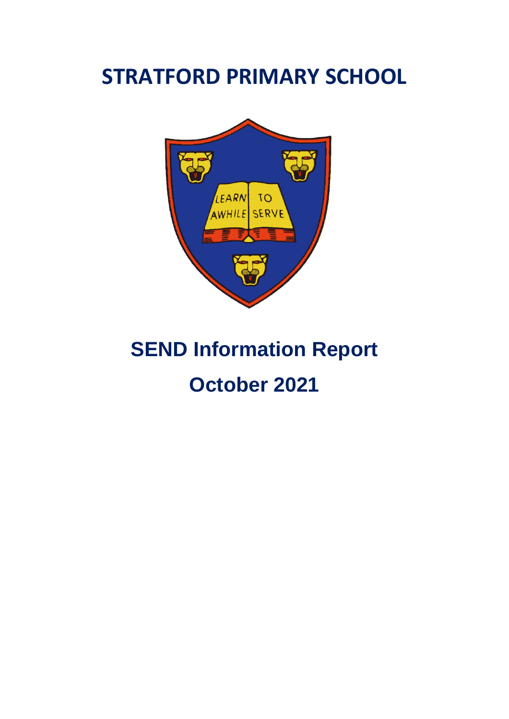# **STRATFORD PRIMARY SCHOOL**



# **SEND Information Report**

# **October 2021**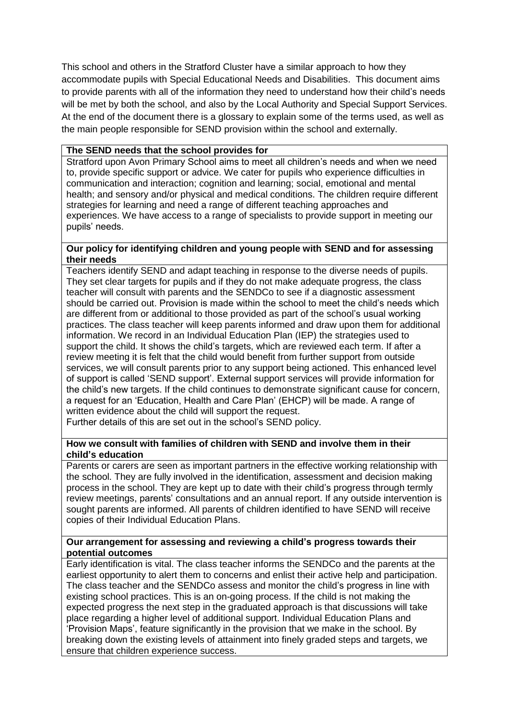This school and others in the Stratford Cluster have a similar approach to how they accommodate pupils with Special Educational Needs and Disabilities. This document aims to provide parents with all of the information they need to understand how their child's needs will be met by both the school, and also by the Local Authority and Special Support Services. At the end of the document there is a glossary to explain some of the terms used, as well as the main people responsible for SEND provision within the school and externally.

# **The SEND needs that the school provides for**

Stratford upon Avon Primary School aims to meet all children's needs and when we need to, provide specific support or advice. We cater for pupils who experience difficulties in communication and interaction; cognition and learning; social, emotional and mental health; and sensory and/or physical and medical conditions. The children require different strategies for learning and need a range of different teaching approaches and experiences. We have access to a range of specialists to provide support in meeting our pupils' needs.

# **Our policy for identifying children and young people with SEND and for assessing their needs**

Teachers identify SEND and adapt teaching in response to the diverse needs of pupils. They set clear targets for pupils and if they do not make adequate progress, the class teacher will consult with parents and the SENDCo to see if a diagnostic assessment should be carried out. Provision is made within the school to meet the child's needs which are different from or additional to those provided as part of the school's usual working practices. The class teacher will keep parents informed and draw upon them for additional information. We record in an Individual Education Plan (IEP) the strategies used to support the child. It shows the child's targets, which are reviewed each term. If after a review meeting it is felt that the child would benefit from further support from outside services, we will consult parents prior to any support being actioned. This enhanced level of support is called 'SEND support'. External support services will provide information for the child's new targets. If the child continues to demonstrate significant cause for concern, a request for an 'Education, Health and Care Plan' (EHCP) will be made. A range of written evidence about the child will support the request.

Further details of this are set out in the school's SEND policy.

# **How we consult with families of children with SEND and involve them in their child's education**

Parents or carers are seen as important partners in the effective working relationship with the school. They are fully involved in the identification, assessment and decision making process in the school. They are kept up to date with their child's progress through termly review meetings, parents' consultations and an annual report. If any outside intervention is sought parents are informed. All parents of children identified to have SEND will receive copies of their Individual Education Plans.

# **Our arrangement for assessing and reviewing a child's progress towards their potential outcomes**

Early identification is vital. The class teacher informs the SENDCo and the parents at the earliest opportunity to alert them to concerns and enlist their active help and participation. The class teacher and the SENDCo assess and monitor the child's progress in line with existing school practices. This is an on-going process. If the child is not making the expected progress the next step in the graduated approach is that discussions will take place regarding a higher level of additional support. Individual Education Plans and 'Provision Maps', feature significantly in the provision that we make in the school. By breaking down the existing levels of attainment into finely graded steps and targets, we ensure that children experience success.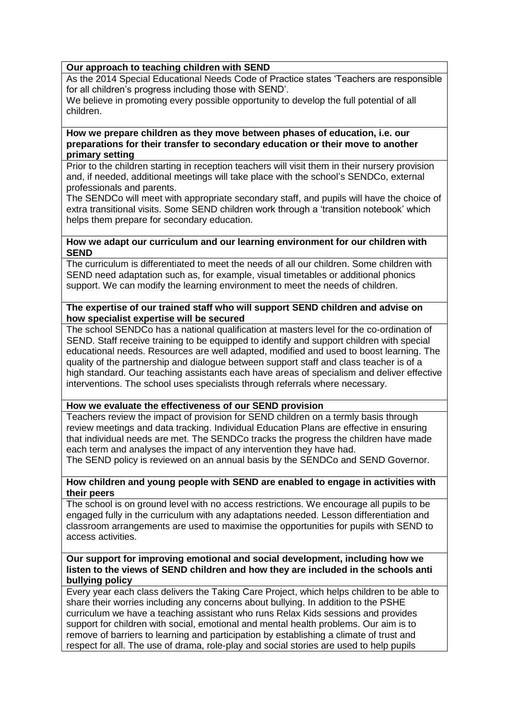# **Our approach to teaching children with SEND**

As the 2014 Special Educational Needs Code of Practice states 'Teachers are responsible for all children's progress including those with SEND'.

We believe in promoting every possible opportunity to develop the full potential of all children.

#### **How we prepare children as they move between phases of education, i.e. our preparations for their transfer to secondary education or their move to another primary setting**

Prior to the children starting in reception teachers will visit them in their nursery provision and, if needed, additional meetings will take place with the school's SENDCo, external professionals and parents.

The SENDCo will meet with appropriate secondary staff, and pupils will have the choice of extra transitional visits. Some SEND children work through a 'transition notebook' which helps them prepare for secondary education.

#### **How we adapt our curriculum and our learning environment for our children with SEND**

The curriculum is differentiated to meet the needs of all our children. Some children with SEND need adaptation such as, for example, visual timetables or additional phonics support. We can modify the learning environment to meet the needs of children.

## **The expertise of our trained staff who will support SEND children and advise on how specialist expertise will be secured**

The school SENDCo has a national qualification at masters level for the co-ordination of SEND. Staff receive training to be equipped to identify and support children with special educational needs. Resources are well adapted, modified and used to boost learning. The quality of the partnership and dialogue between support staff and class teacher is of a high standard. Our teaching assistants each have areas of specialism and deliver effective interventions. The school uses specialists through referrals where necessary.

# **How we evaluate the effectiveness of our SEND provision**

Teachers review the impact of provision for SEND children on a termly basis through review meetings and data tracking. Individual Education Plans are effective in ensuring that individual needs are met. The SENDCo tracks the progress the children have made each term and analyses the impact of any intervention they have had.

The SEND policy is reviewed on an annual basis by the SENDCo and SEND Governor.

#### **How children and young people with SEND are enabled to engage in activities with their peers**

The school is on ground level with no access restrictions. We encourage all pupils to be engaged fully in the curriculum with any adaptations needed. Lesson differentiation and classroom arrangements are used to maximise the opportunities for pupils with SEND to access activities.

#### **Our support for improving emotional and social development, including how we listen to the views of SEND children and how they are included in the schools anti bullying policy**

Every year each class delivers the Taking Care Project, which helps children to be able to share their worries including any concerns about bullying. In addition to the PSHE curriculum we have a teaching assistant who runs Relax Kids sessions and provides support for children with social, emotional and mental health problems. Our aim is to remove of barriers to learning and participation by establishing a climate of trust and respect for all. The use of drama, role-play and social stories are used to help pupils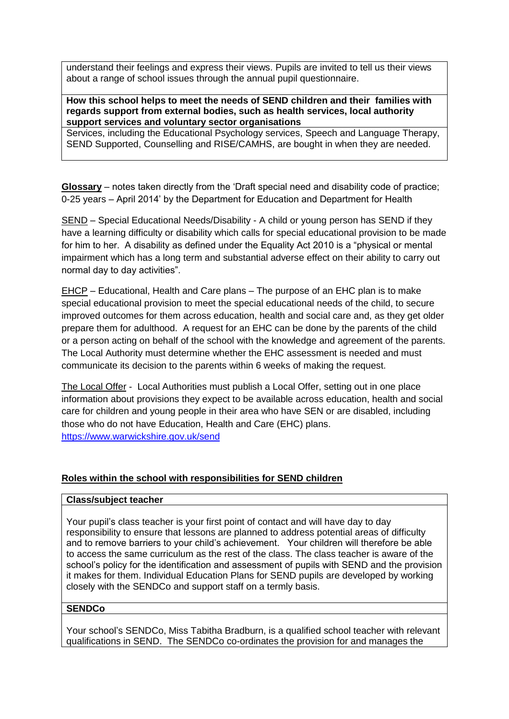understand their feelings and express their views. Pupils are invited to tell us their views about a range of school issues through the annual pupil questionnaire.

#### **How this school helps to meet the needs of SEND children and their families with regards support from external bodies, such as health services, local authority support services and voluntary sector organisations**

Services, including the Educational Psychology services, Speech and Language Therapy, SEND Supported, Counselling and RISE/CAMHS, are bought in when they are needed.

**Glossary** – notes taken directly from the 'Draft special need and disability code of practice; 0-25 years – April 2014' by the Department for Education and Department for Health

SEND – Special Educational Needs/Disability - A child or young person has SEND if they have a learning difficulty or disability which calls for special educational provision to be made for him to her. A disability as defined under the Equality Act 2010 is a "physical or mental impairment which has a long term and substantial adverse effect on their ability to carry out normal day to day activities".

EHCP – Educational, Health and Care plans – The purpose of an EHC plan is to make special educational provision to meet the special educational needs of the child, to secure improved outcomes for them across education, health and social care and, as they get older prepare them for adulthood. A request for an EHC can be done by the parents of the child or a person acting on behalf of the school with the knowledge and agreement of the parents. The Local Authority must determine whether the EHC assessment is needed and must communicate its decision to the parents within 6 weeks of making the request.

The Local Offer - Local Authorities must publish a Local Offer, setting out in one place information about provisions they expect to be available across education, health and social care for children and young people in their area who have SEN or are disabled, including those who do not have Education, Health and Care (EHC) plans. <https://www.warwickshire.gov.uk/send>

# **Roles within the school with responsibilities for SEND children**

# **Class/subject teacher**

Your pupil's class teacher is your first point of contact and will have day to day responsibility to ensure that lessons are planned to address potential areas of difficulty and to remove barriers to your child's achievement. Your children will therefore be able to access the same curriculum as the rest of the class. The class teacher is aware of the school's policy for the identification and assessment of pupils with SEND and the provision it makes for them. Individual Education Plans for SEND pupils are developed by working closely with the SENDCo and support staff on a termly basis.

# **SENDCo**

Your school's SENDCo, Miss Tabitha Bradburn, is a qualified school teacher with relevant qualifications in SEND. The SENDCo co-ordinates the provision for and manages the